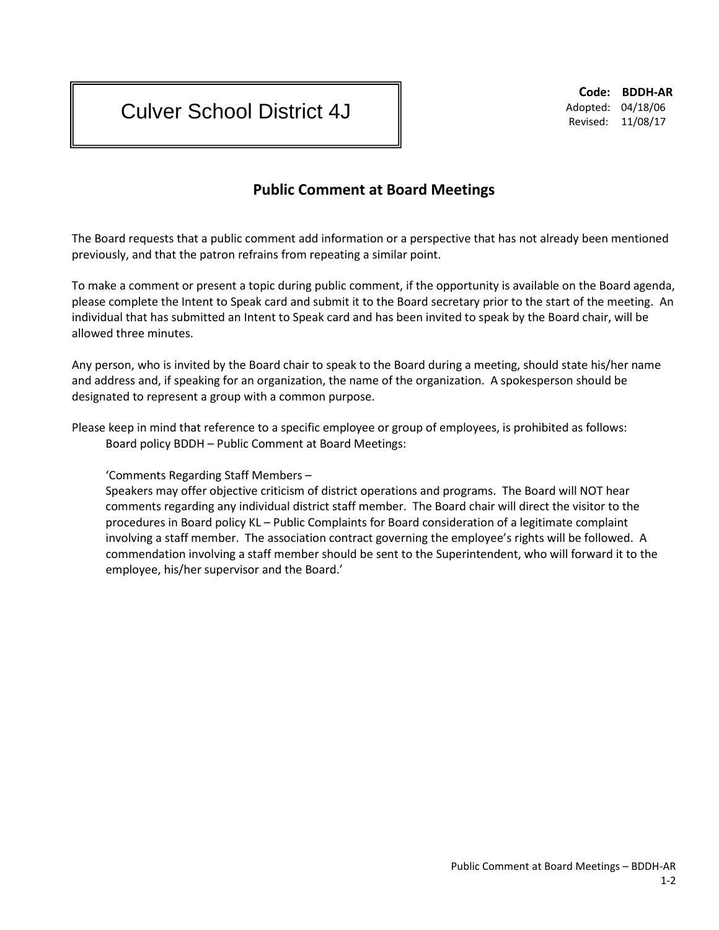## Culver School District 4J

**Code: BDDH-AR** Adopted: 04/18/06 Revised: 11/08/17

## **Public Comment at Board Meetings**

The Board requests that a public comment add information or a perspective that has not already been mentioned previously, and that the patron refrains from repeating a similar point.

To make a comment or present a topic during public comment, if the opportunity is available on the Board agenda, please complete the Intent to Speak card and submit it to the Board secretary prior to the start of the meeting. An individual that has submitted an Intent to Speak card and has been invited to speak by the Board chair, will be allowed three minutes.

Any person, who is invited by the Board chair to speak to the Board during a meeting, should state his/her name and address and, if speaking for an organization, the name of the organization. A spokesperson should be designated to represent a group with a common purpose.

Please keep in mind that reference to a specific employee or group of employees, is prohibited as follows: Board policy BDDH – Public Comment at Board Meetings:

'Comments Regarding Staff Members –

Speakers may offer objective criticism of district operations and programs. The Board will NOT hear comments regarding any individual district staff member. The Board chair will direct the visitor to the procedures in Board policy KL – Public Complaints for Board consideration of a legitimate complaint involving a staff member. The association contract governing the employee's rights will be followed. A commendation involving a staff member should be sent to the Superintendent, who will forward it to the employee, his/her supervisor and the Board.'